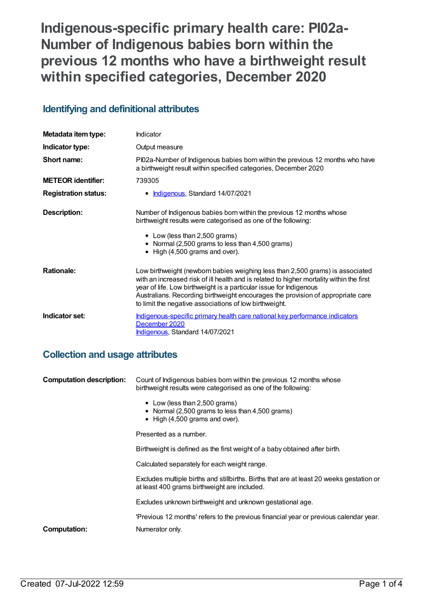**Indigenous-specific primary health care: PI02a-Number of Indigenous babies born within the previous 12 months who have a birthweight result within specified categories, December 2020**

## **Identifying and definitional attributes**

| Metadata item type:         | Indicator                                                                                                                                                                                                                                                                                                                                                                                    |
|-----------------------------|----------------------------------------------------------------------------------------------------------------------------------------------------------------------------------------------------------------------------------------------------------------------------------------------------------------------------------------------------------------------------------------------|
| Indicator type:             | Output measure                                                                                                                                                                                                                                                                                                                                                                               |
| Short name:                 | PI02a-Number of Indigenous babies born within the previous 12 months who have<br>a birthweight result within specified categories, December 2020                                                                                                                                                                                                                                             |
| <b>METEOR identifier:</b>   | 739305                                                                                                                                                                                                                                                                                                                                                                                       |
| <b>Registration status:</b> | • Indigenous, Standard 14/07/2021                                                                                                                                                                                                                                                                                                                                                            |
| Description:                | Number of Indigenous babies born within the previous 12 months whose<br>birthweight results were categorised as one of the following:<br>• Low (less than 2,500 grams)<br>• Normal (2,500 grams to less than 4,500 grams)<br>$\bullet$ High (4,500 grams and over).                                                                                                                          |
| <b>Rationale:</b>           | Low birthweight (newborn babies weighing less than 2,500 grams) is associated<br>with an increased risk of ill health and is related to higher mortality within the first<br>year of life. Low birthweight is a particular issue for Indigenous<br>Australians. Recording birthweight encourages the provision of appropriate care<br>to limit the negative associations of low birthweight. |
| Indicator set:              | Indigenous-specific primary health care national key performance indicators<br>December 2020<br>Indigenous, Standard 14/07/2021                                                                                                                                                                                                                                                              |

## **Collection and usage attributes**

| <b>Computation description:</b> | Count of Indigenous babies born within the previous 12 months whose<br>birthweight results were categorised as one of the following:<br>• Low (less than 2,500 grams)<br>• Normal (2,500 grams to less than 4,500 grams)<br>$\bullet$ High (4,500 grams and over). |
|---------------------------------|--------------------------------------------------------------------------------------------------------------------------------------------------------------------------------------------------------------------------------------------------------------------|
|                                 | Presented as a number.                                                                                                                                                                                                                                             |
|                                 | Birthweight is defined as the first weight of a baby obtained after birth.                                                                                                                                                                                         |
|                                 | Calculated separately for each weight range.                                                                                                                                                                                                                       |
|                                 | Excludes multiple births and stillbirths. Births that are at least 20 weeks gestation or<br>at least 400 grams birthweight are included.                                                                                                                           |
|                                 | Excludes unknown birthweight and unknown gestational age.                                                                                                                                                                                                          |
|                                 | 'Previous 12 months' refers to the previous financial year or previous calendar year.                                                                                                                                                                              |
| <b>Computation:</b>             | Numerator only.                                                                                                                                                                                                                                                    |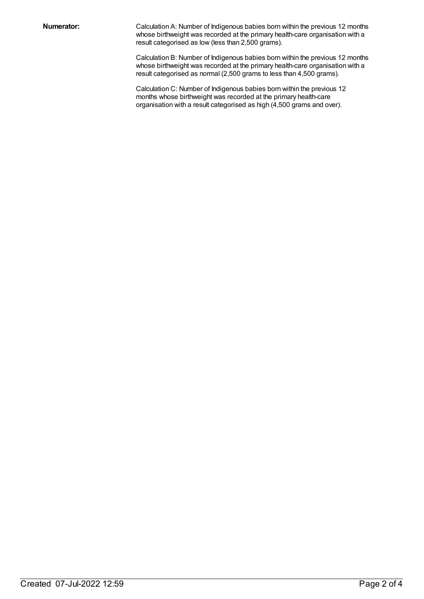**Numerator:** Calculation A: Number of Indigenous babies born within the previous 12 months whose birthweight was recorded at the primary health-care organisation with a result categorised as low (less than 2,500 grams).

> Calculation B: Number of Indigenous babies born within the previous 12 months whose birthweight was recorded at the primary health-care organisation with a result categorised as normal (2,500 grams to less than 4,500 grams).

Calculation C: Number of Indigenous babies born within the previous 12 months whose birthweight was recorded at the primary health-care organisation with a result categorised as high (4,500 grams and over).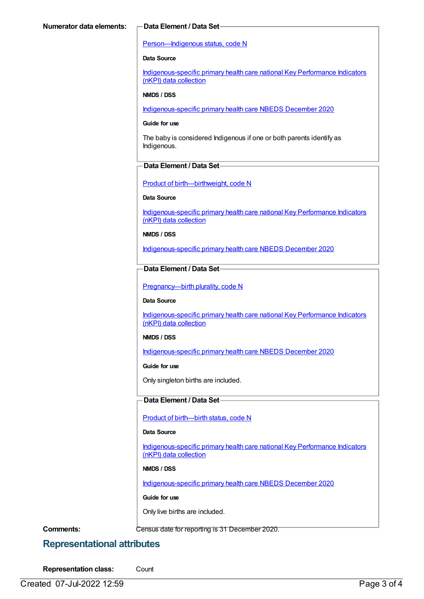#### [Person—Indigenous](https://meteor.aihw.gov.au/content/602543) status, code N

#### **Data Source**

[Indigenous-specific](https://meteor.aihw.gov.au/content/737914) primary health care national Key Performance Indicators (nKPI) data collection

#### **NMDS / DSS**

[Indigenous-specific](https://meteor.aihw.gov.au/content/738532) primary health care NBEDS December 2020

#### **Guide for use**

The baby is considered Indigenous if one or both parents identify as Indigenous.

#### **Data Element / Data Set**

Product of [birth—birthweight,](https://meteor.aihw.gov.au/content/709560) code N

#### **Data Source**

[Indigenous-specific](https://meteor.aihw.gov.au/content/737914) primary health care national Key Performance Indicators (nKPI) data collection

#### **NMDS / DSS**

[Indigenous-specific](https://meteor.aihw.gov.au/content/738532) primary health care NBEDS December 2020

### **Data Element / Data Set**

Pregnancy--- birth plurality, code N

#### **Data Source**

[Indigenous-specific](https://meteor.aihw.gov.au/content/737914) primary health care national Key Performance Indicators (nKPI) data collection

#### **NMDS / DSS**

[Indigenous-specific](https://meteor.aihw.gov.au/content/738532) primary health care NBEDS December 2020

#### **Guide for use**

Only singleton births are included.

#### **Data Element / Data Set**

Product of [birth—birth](https://meteor.aihw.gov.au/content/732895) status, code N

### **Data Source**

[Indigenous-specific](https://meteor.aihw.gov.au/content/737914) primary health care national Key Performance Indicators (nKPI) data collection

#### **NMDS / DSS**

[Indigenous-specific](https://meteor.aihw.gov.au/content/738532) primary health care NBEDS December 2020

#### **Guide for use**

Only live births are included.

**Comments:** Census date for reporting is 31 December 2020.

## **Representational attributes**

**Representation class:** Count

Created 07-Jul-2022 12:59 Page 3 of 4